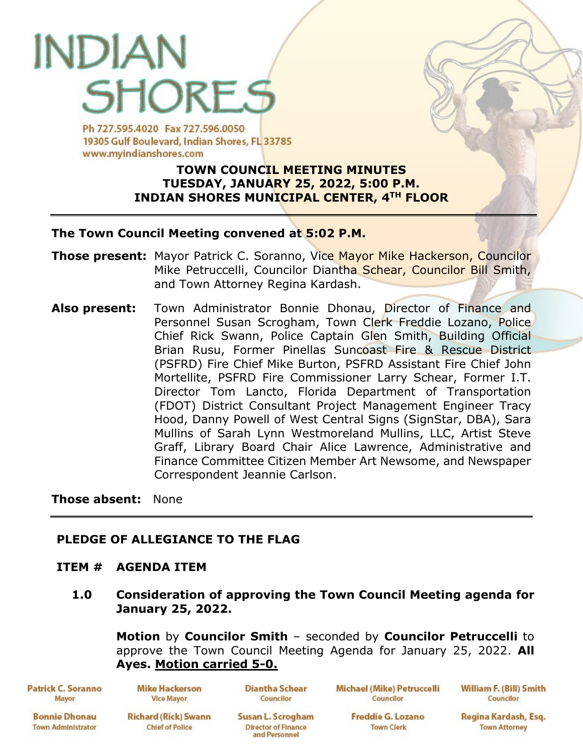# INDIA SHORF S

Ph 727.595.4020 Fax 727.596.0050 19305 Gulf Boulevard, Indian Shores, FL 33785 www.mvindianshores.com

# **TOWN COUNCIL MEETING MINUTES TUESDAY, JANUARY 25, 2022, 5:00 P.M. INDIAN SHORES MUNICIPAL CENTER, 4TH FLOOR**

# **The Town Council Meeting convened at 5:02 P.M.**

- **Those present:** Mayor Patrick C. Soranno, Vice Mayor Mike Hackerson, Councilor Mike Petruccelli, Councilor Diantha Schear, Councilor Bill Smith, and Town Attorney Regina Kardash.
- **Also present:** Town Administrator Bonnie Dhonau, Director of Finance and Personnel Susan Scrogham, Town Clerk Freddie Lozano, Police Chief Rick Swann, Police Captain Glen Smith, Building Official Brian Rusu, Former Pinellas Suncoast Fire & Rescue District (PSFRD) Fire Chief Mike Burton, PSFRD Assistant Fire Chief John Mortellite, PSFRD Fire Commissioner Larry Schear, Former I.T. Director Tom Lancto, Florida Department of Transportation (FDOT) District Consultant Project Management Engineer Tracy Hood, Danny Powell of West Central Signs (SignStar, DBA), Sara Mullins of Sarah Lynn Westmoreland Mullins, LLC, Artist Steve Graff, Library Board Chair Alice Lawrence, Administrative and Finance Committee Citizen Member Art Newsome, and Newspaper Correspondent Jeannie Carlson.

**Those absent:** None

# **PLEDGE OF ALLEGIANCE TO THE FLAG**

# **ITEM # AGENDA ITEM**

**1.0 Consideration of approving the Town Council Meeting agenda for January 25, 2022.**

**Motion** by **Councilor Smith** – seconded by **Councilor Petruccelli** to approve the Town Council Meeting Agenda for January 25, 2022. **All Ayes. Motion carried 5-0.**

**Patrick C. Soranno** Mayor

**Mike Hackerson Vice Mayor** 

**Diantha Schear** Councilor

Michael (Mike) Petruccelli Councilor

**William F. (Bill) Smith** Councilor

**Bonnie Dhonau Town Administrator** 

**Richard (Rick) Swann Chief of Police** 

Susan L. Scrogham **Director of Finance** and Personnel

**Freddie G. Lozano Town Clerk** 

Regina Kardash, Esq. **Town Attorney**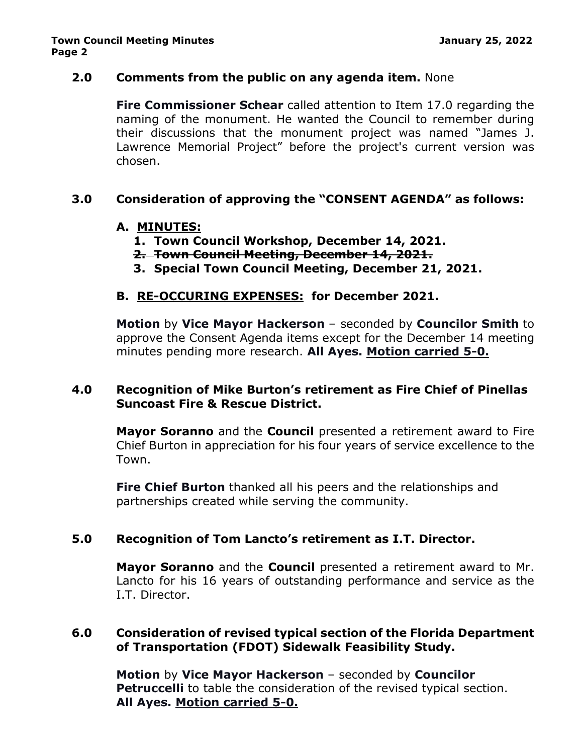# **2.0 Comments from the public on any agenda item.** None

**Fire Commissioner Schear** called attention to Item 17.0 regarding the naming of the monument. He wanted the Council to remember during their discussions that the monument project was named "James J. Lawrence Memorial Project" before the project's current version was chosen.

# **3.0 Consideration of approving the "CONSENT AGENDA" as follows:**

#### **A. MINUTES:**

- **1. Town Council Workshop, December 14, 2021.**
- **2. Town Council Meeting, December 14, 2021.**
- **3. Special Town Council Meeting, December 21, 2021.**

#### **B. RE-OCCURING EXPENSES: for December 2021.**

**Motion** by **Vice Mayor Hackerson** – seconded by **Councilor Smith** to approve the Consent Agenda items except for the December 14 meeting minutes pending more research. **All Ayes. Motion carried 5-0.**

#### **4.0 Recognition of Mike Burton's retirement as Fire Chief of Pinellas Suncoast Fire & Rescue District.**

**Mayor Soranno** and the **Council** presented a retirement award to Fire Chief Burton in appreciation for his four years of service excellence to the Town.

**Fire Chief Burton** thanked all his peers and the relationships and partnerships created while serving the community.

#### **5.0 Recognition of Tom Lancto's retirement as I.T. Director.**

**Mayor Soranno** and the **Council** presented a retirement award to Mr. Lancto for his 16 years of outstanding performance and service as the I.T. Director.

# **6.0 Consideration of revised typical section of the Florida Department of Transportation (FDOT) Sidewalk Feasibility Study.**

**Motion** by **Vice Mayor Hackerson** – seconded by **Councilor Petruccelli** to table the consideration of the revised typical section. **All Ayes. Motion carried 5-0.**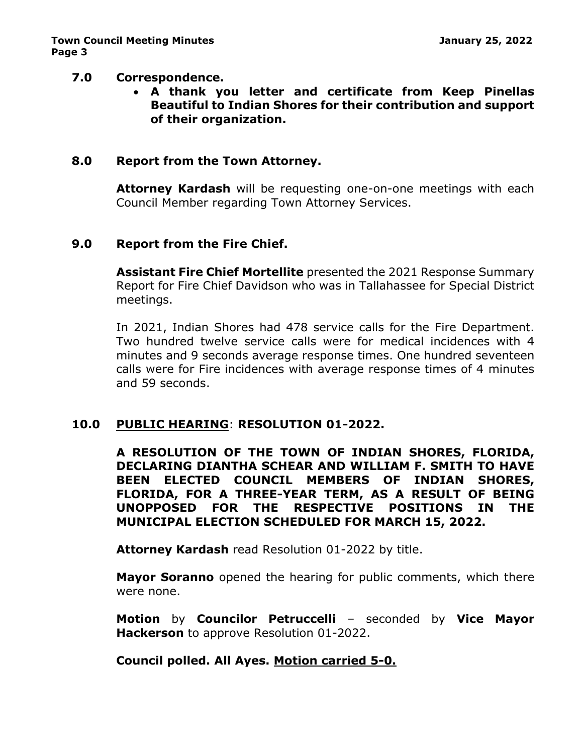#### **7.0 Correspondence.**

• **A thank you letter and certificate from Keep Pinellas Beautiful to Indian Shores for their contribution and support of their organization.**

# **8.0 Report from the Town Attorney.**

**Attorney Kardash** will be requesting one-on-one meetings with each Council Member regarding Town Attorney Services.

#### **9.0 Report from the Fire Chief.**

**Assistant Fire Chief Mortellite** presented the 2021 Response Summary Report for Fire Chief Davidson who was in Tallahassee for Special District meetings.

In 2021, Indian Shores had 478 service calls for the Fire Department. Two hundred twelve service calls were for medical incidences with 4 minutes and 9 seconds average response times. One hundred seventeen calls were for Fire incidences with average response times of 4 minutes and 59 seconds.

# **10.0 PUBLIC HEARING**: **RESOLUTION 01-2022.**

**A RESOLUTION OF THE TOWN OF INDIAN SHORES, FLORIDA, DECLARING DIANTHA SCHEAR AND WILLIAM F. SMITH TO HAVE BEEN ELECTED COUNCIL MEMBERS OF INDIAN SHORES, FLORIDA, FOR A THREE-YEAR TERM, AS A RESULT OF BEING UNOPPOSED FOR THE RESPECTIVE POSITIONS IN THE MUNICIPAL ELECTION SCHEDULED FOR MARCH 15, 2022.**

**Attorney Kardash** read Resolution 01-2022 by title.

**Mayor Soranno** opened the hearing for public comments, which there were none.

**Motion** by **Councilor Petruccelli** – seconded by **Vice Mayor Hackerson** to approve Resolution 01-2022.

# **Council polled. All Ayes. Motion carried 5-0.**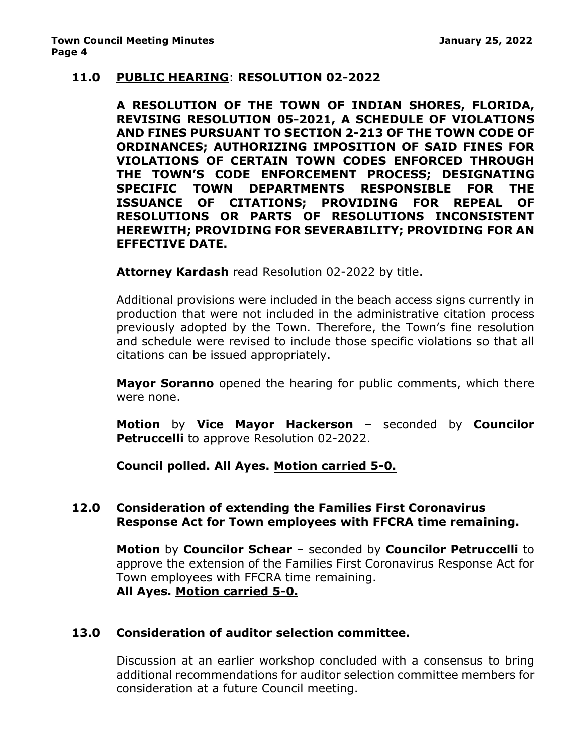#### **11.0 PUBLIC HEARING**: **RESOLUTION 02-2022**

**A RESOLUTION OF THE TOWN OF INDIAN SHORES, FLORIDA, REVISING RESOLUTION 05-2021, A SCHEDULE OF VIOLATIONS AND FINES PURSUANT TO SECTION 2-213 OF THE TOWN CODE OF ORDINANCES; AUTHORIZING IMPOSITION OF SAID FINES FOR VIOLATIONS OF CERTAIN TOWN CODES ENFORCED THROUGH THE TOWN'S CODE ENFORCEMENT PROCESS; DESIGNATING SPECIFIC TOWN DEPARTMENTS RESPONSIBLE FOR THE ISSUANCE OF CITATIONS; PROVIDING FOR REPEAL OF RESOLUTIONS OR PARTS OF RESOLUTIONS INCONSISTENT HEREWITH; PROVIDING FOR SEVERABILITY; PROVIDING FOR AN EFFECTIVE DATE.**

**Attorney Kardash** read Resolution 02-2022 by title.

Additional provisions were included in the beach access signs currently in production that were not included in the administrative citation process previously adopted by the Town. Therefore, the Town's fine resolution and schedule were revised to include those specific violations so that all citations can be issued appropriately.

**Mayor Soranno** opened the hearing for public comments, which there were none.

**Motion** by **Vice Mayor Hackerson** – seconded by **Councilor Petruccelli** to approve Resolution 02-2022.

**Council polled. All Ayes. Motion carried 5-0.**

# **12.0 Consideration of extending the Families First Coronavirus Response Act for Town employees with FFCRA time remaining.**

**Motion** by **Councilor Schear** – seconded by **Councilor Petruccelli** to approve the extension of the Families First Coronavirus Response Act for Town employees with FFCRA time remaining. **All Ayes. Motion carried 5-0.**

# **13.0 Consideration of auditor selection committee.**

Discussion at an earlier workshop concluded with a consensus to bring additional recommendations for auditor selection committee members for consideration at a future Council meeting.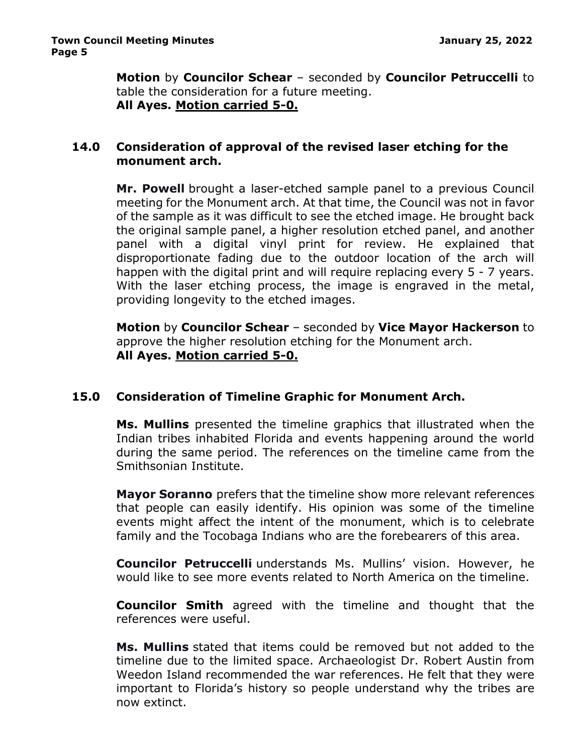**Motion** by **Councilor Schear** – seconded by **Councilor Petruccelli** to table the consideration for a future meeting. **All Ayes. Motion carried 5-0.**

#### **14.0 Consideration of approval of the revised laser etching for the monument arch.**

**Mr. Powell** brought a laser-etched sample panel to a previous Council meeting for the Monument arch. At that time, the Council was not in favor of the sample as it was difficult to see the etched image. He brought back the original sample panel, a higher resolution etched panel, and another panel with a digital vinyl print for review. He explained that disproportionate fading due to the outdoor location of the arch will happen with the digital print and will require replacing every 5 - 7 years. With the laser etching process, the image is engraved in the metal, providing longevity to the etched images.

**Motion** by **Councilor Schear** – seconded by **Vice Mayor Hackerson** to approve the higher resolution etching for the Monument arch. **All Ayes. Motion carried 5-0.**

# **15.0 Consideration of Timeline Graphic for Monument Arch.**

**Ms. Mullins** presented the timeline graphics that illustrated when the Indian tribes inhabited Florida and events happening around the world during the same period. The references on the timeline came from the Smithsonian Institute.

**Mayor Soranno** prefers that the timeline show more relevant references that people can easily identify. His opinion was some of the timeline events might affect the intent of the monument, which is to celebrate family and the Tocobaga Indians who are the forebearers of this area.

**Councilor Petruccelli** understands Ms. Mullins' vision. However, he would like to see more events related to North America on the timeline.

**Councilor Smith** agreed with the timeline and thought that the references were useful.

**Ms. Mullins** stated that items could be removed but not added to the timeline due to the limited space. Archaeologist Dr. Robert Austin from Weedon Island recommended the war references. He felt that they were important to Florida's history so people understand why the tribes are now extinct.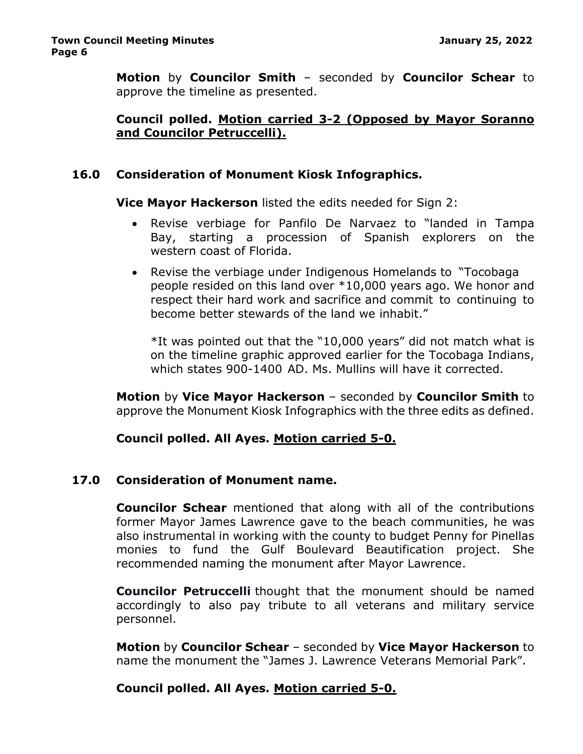**Motion** by **Councilor Smith** – seconded by **Councilor Schear** to approve the timeline as presented.

# **Council polled. Motion carried 3-2 (Opposed by Mayor Soranno and Councilor Petruccelli).**

# **16.0 Consideration of Monument Kiosk Infographics.**

**Vice Mayor Hackerson** listed the edits needed for Sign 2:

- Revise verbiage for Panfilo De Narvaez to "landed in Tampa Bay, starting a procession of Spanish explorers on the western coast of Florida.
- Revise the verbiage under Indigenous Homelands to "Tocobaga people resided on this land over \*10,000 years ago. We honor and respect their hard work and sacrifice and commit to continuing to become better stewards of the land we inhabit."

\*It was pointed out that the "10,000 years" did not match what is on the timeline graphic approved earlier for the Tocobaga Indians, which states 900-1400 AD. Ms. Mullins will have it corrected.

**Motion** by **Vice Mayor Hackerson** – seconded by **Councilor Smith** to approve the Monument Kiosk Infographics with the three edits as defined.

# **Council polled. All Ayes. Motion carried 5-0.**

# **17.0 Consideration of Monument name.**

**Councilor Schear** mentioned that along with all of the contributions former Mayor James Lawrence gave to the beach communities, he was also instrumental in working with the county to budget Penny for Pinellas monies to fund the Gulf Boulevard Beautification project. She recommended naming the monument after Mayor Lawrence.

**Councilor Petruccelli** thought that the monument should be named accordingly to also pay tribute to all veterans and military service personnel.

**Motion** by **Councilor Schear** – seconded by **Vice Mayor Hackerson** to name the monument the "James J. Lawrence Veterans Memorial Park".

# **Council polled. All Ayes. Motion carried 5-0.**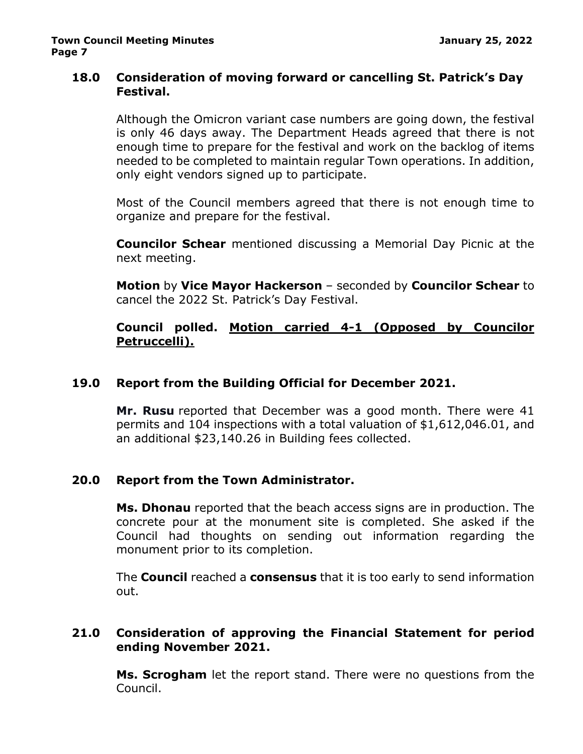# **18.0 Consideration of moving forward or cancelling St. Patrick's Day Festival.**

Although the Omicron variant case numbers are going down, the festival is only 46 days away. The Department Heads agreed that there is not enough time to prepare for the festival and work on the backlog of items needed to be completed to maintain regular Town operations. In addition, only eight vendors signed up to participate.

Most of the Council members agreed that there is not enough time to organize and prepare for the festival.

**Councilor Schear** mentioned discussing a Memorial Day Picnic at the next meeting.

**Motion** by **Vice Mayor Hackerson** – seconded by **Councilor Schear** to cancel the 2022 St. Patrick's Day Festival.

# **Council polled. Motion carried 4-1 (Opposed by Councilor Petruccelli).**

# **19.0 Report from the Building Official for December 2021.**

**Mr. Rusu** reported that December was a good month. There were 41 permits and 104 inspections with a total valuation of \$1,612,046.01, and an additional \$23,140.26 in Building fees collected.

# **20.0 Report from the Town Administrator.**

**Ms. Dhonau** reported that the beach access signs are in production. The concrete pour at the monument site is completed. She asked if the Council had thoughts on sending out information regarding the monument prior to its completion.

The **Council** reached a **consensus** that it is too early to send information out.

# **21.0 Consideration of approving the Financial Statement for period ending November 2021.**

**Ms. Scrogham** let the report stand. There were no questions from the Council.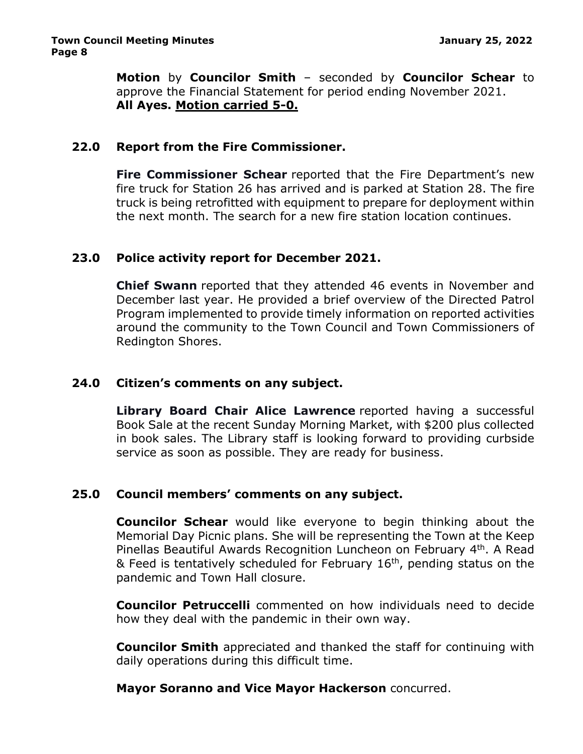**Motion** by **Councilor Smith** – seconded by **Councilor Schear** to approve the Financial Statement for period ending November 2021. **All Ayes. Motion carried 5-0.**

#### **22.0 Report from the Fire Commissioner.**

**Fire Commissioner Schear** reported that the Fire Department's new fire truck for Station 26 has arrived and is parked at Station 28. The fire truck is being retrofitted with equipment to prepare for deployment within the next month. The search for a new fire station location continues.

#### **23.0 Police activity report for December 2021.**

**Chief Swann** reported that they attended 46 events in November and December last year. He provided a brief overview of the Directed Patrol Program implemented to provide timely information on reported activities around the community to the Town Council and Town Commissioners of Redington Shores.

#### **24.0 Citizen's comments on any subject.**

**Library Board Chair Alice Lawrence** reported having a successful Book Sale at the recent Sunday Morning Market, with \$200 plus collected in book sales. The Library staff is looking forward to providing curbside service as soon as possible. They are ready for business.

#### **25.0 Council members' comments on any subject.**

**Councilor Schear** would like everyone to begin thinking about the Memorial Day Picnic plans. She will be representing the Town at the Keep Pinellas Beautiful Awards Recognition Luncheon on February 4th. A Read & Feed is tentatively scheduled for February 16th, pending status on the pandemic and Town Hall closure.

**Councilor Petruccelli** commented on how individuals need to decide how they deal with the pandemic in their own way.

**Councilor Smith** appreciated and thanked the staff for continuing with daily operations during this difficult time.

#### **Mayor Soranno and Vice Mayor Hackerson** concurred.